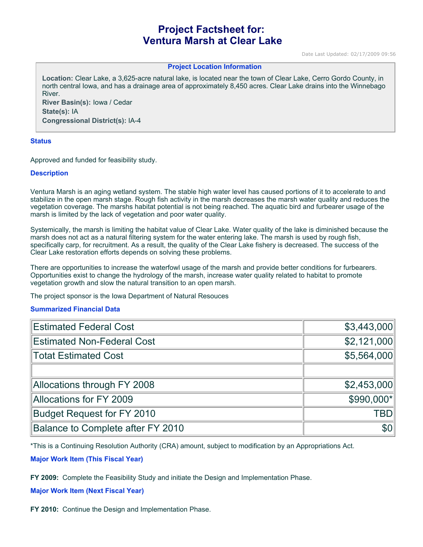# **Project Factsheet for: Ventura Marsh at Clear Lake**

Date Last Updated: 02/17/2009 09:56

#### **Project Location Information**

**Location:** Clear Lake, a 3,625-acre natural lake, is located near the town of Clear Lake, Cerro Gordo County, in north central Iowa, and has a drainage area of approximately 8,450 acres. Clear Lake drains into the Winnebago River. **River Basin(s):** Iowa / Cedar

**State(s):** IA **Congressional District(s):** IA-4

#### **Status**

Approved and funded for feasibility study.

#### **Description**

Ventura Marsh is an aging wetland system. The stable high water level has caused portions of it to accelerate to and stabilize in the open marsh stage. Rough fish activity in the marsh decreases the marsh water quality and reduces the vegetation coverage. The marshs habitat potential is not being reached. The aquatic bird and furbearer usage of the marsh is limited by the lack of vegetation and poor water quality.

Systemically, the marsh is limiting the habitat value of Clear Lake. Water quality of the lake is diminished because the marsh does not act as a natural filtering system for the water entering lake. The marsh is used by rough fish, specifically carp, for recruitment. As a result, the quality of the Clear Lake fishery is decreased. The success of the Clear Lake restoration efforts depends on solving these problems.

There are opportunities to increase the waterfowl usage of the marsh and provide better conditions for furbearers. Opportunities exist to change the hydrology of the marsh, increase water quality related to habitat to promote vegetation growth and slow the natural transition to an open marsh.

The project sponsor is the Iowa Department of Natural Resouces

#### **Summarized Financial Data**

| <b>Estimated Federal Cost</b>     | \$3,443,000      |
|-----------------------------------|------------------|
| <b>Estimated Non-Federal Cost</b> | \$2,121,000      |
| <b>Totat Estimated Cost</b>       | \$5,564,000      |
|                                   |                  |
| Allocations through FY 2008       | \$2,453,000      |
| Allocations for FY 2009           | \$990,000*       |
| <b>Budget Request for FY 2010</b> | <b>TBD</b>       |
| Balance to Complete after FY 2010 | \$0 <sub>1</sub> |

\*This is a Continuing Resolution Authority (CRA) amount, subject to modification by an Appropriations Act.

#### **Major Work Item (This Fiscal Year)**

**FY 2009:** Complete the Feasibility Study and initiate the Design and Implementation Phase.

### **Major Work Item (Next Fiscal Year)**

**FY 2010:** Continue the Design and Implementation Phase.